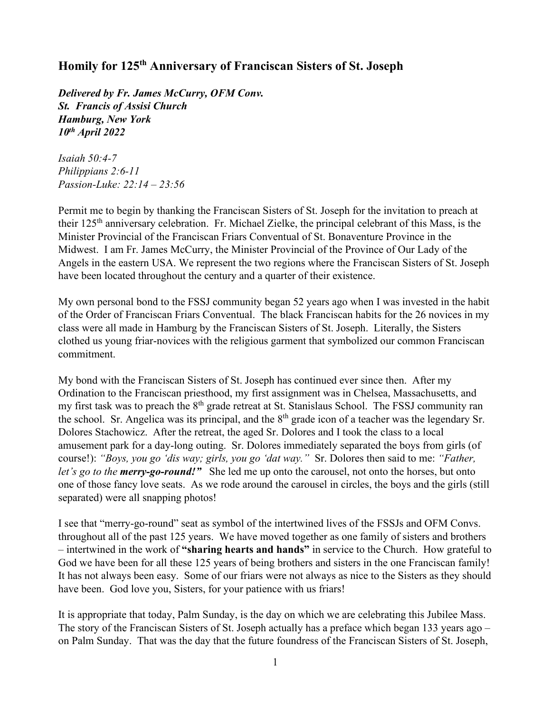## **Homily for 125th Anniversary of Franciscan Sisters of St. Joseph**

*Delivered by Fr. James McCurry, OFM Conv. St. Francis of Assisi Church Hamburg, New York 10th April 2022*

*Isaiah 50:4-7 Philippians 2:6-11 Passion-Luke: 22:14 – 23:56*

Permit me to begin by thanking the Franciscan Sisters of St. Joseph for the invitation to preach at their 125th anniversary celebration. Fr. Michael Zielke, the principal celebrant of this Mass, is the Minister Provincial of the Franciscan Friars Conventual of St. Bonaventure Province in the Midwest. I am Fr. James McCurry, the Minister Provincial of the Province of Our Lady of the Angels in the eastern USA. We represent the two regions where the Franciscan Sisters of St. Joseph have been located throughout the century and a quarter of their existence.

My own personal bond to the FSSJ community began 52 years ago when I was invested in the habit of the Order of Franciscan Friars Conventual. The black Franciscan habits for the 26 novices in my class were all made in Hamburg by the Franciscan Sisters of St. Joseph. Literally, the Sisters clothed us young friar-novices with the religious garment that symbolized our common Franciscan commitment.

My bond with the Franciscan Sisters of St. Joseph has continued ever since then. After my Ordination to the Franciscan priesthood, my first assignment was in Chelsea, Massachusetts, and my first task was to preach the  $8<sup>th</sup>$  grade retreat at St. Stanislaus School. The FSSJ community ran the school. Sr. Angelica was its principal, and the  $8<sup>th</sup>$  grade icon of a teacher was the legendary Sr. Dolores Stachowicz. After the retreat, the aged Sr. Dolores and I took the class to a local amusement park for a day-long outing. Sr. Dolores immediately separated the boys from girls (of course!): *"Boys, you go 'dis way; girls, you go 'dat way."* Sr. Dolores then said to me: *"Father, let's go to the merry-go-round!"* She led me up onto the carousel, not onto the horses, but onto one of those fancy love seats. As we rode around the carousel in circles, the boys and the girls (still separated) were all snapping photos!

I see that "merry-go-round" seat as symbol of the intertwined lives of the FSSJs and OFM Convs. throughout all of the past 125 years. We have moved together as one family of sisters and brothers – intertwined in the work of **"sharing hearts and hands"** in service to the Church. How grateful to God we have been for all these 125 years of being brothers and sisters in the one Franciscan family! It has not always been easy. Some of our friars were not always as nice to the Sisters as they should have been. God love you, Sisters, for your patience with us friars!

It is appropriate that today, Palm Sunday, is the day on which we are celebrating this Jubilee Mass. The story of the Franciscan Sisters of St. Joseph actually has a preface which began 133 years ago – on Palm Sunday. That was the day that the future foundress of the Franciscan Sisters of St. Joseph,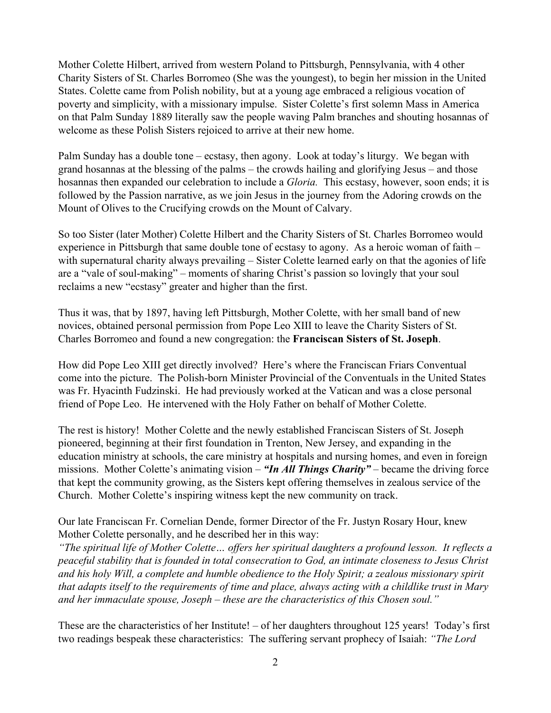Mother Colette Hilbert, arrived from western Poland to Pittsburgh, Pennsylvania, with 4 other Charity Sisters of St. Charles Borromeo (She was the youngest), to begin her mission in the United States. Colette came from Polish nobility, but at a young age embraced a religious vocation of poverty and simplicity, with a missionary impulse. Sister Colette's first solemn Mass in America on that Palm Sunday 1889 literally saw the people waving Palm branches and shouting hosannas of welcome as these Polish Sisters rejoiced to arrive at their new home.

Palm Sunday has a double tone – ecstasy, then agony. Look at today's liturgy. We began with grand hosannas at the blessing of the palms – the crowds hailing and glorifying Jesus – and those hosannas then expanded our celebration to include a *Gloria.* This ecstasy, however, soon ends; it is followed by the Passion narrative, as we join Jesus in the journey from the Adoring crowds on the Mount of Olives to the Crucifying crowds on the Mount of Calvary.

So too Sister (later Mother) Colette Hilbert and the Charity Sisters of St. Charles Borromeo would experience in Pittsburgh that same double tone of ecstasy to agony. As a heroic woman of faith – with supernatural charity always prevailing – Sister Colette learned early on that the agonies of life are a "vale of soul-making" – moments of sharing Christ's passion so lovingly that your soul reclaims a new "ecstasy" greater and higher than the first.

Thus it was, that by 1897, having left Pittsburgh, Mother Colette, with her small band of new novices, obtained personal permission from Pope Leo XIII to leave the Charity Sisters of St. Charles Borromeo and found a new congregation: the **Franciscan Sisters of St. Joseph**.

How did Pope Leo XIII get directly involved? Here's where the Franciscan Friars Conventual come into the picture. The Polish-born Minister Provincial of the Conventuals in the United States was Fr. Hyacinth Fudzinski. He had previously worked at the Vatican and was a close personal friend of Pope Leo. He intervened with the Holy Father on behalf of Mother Colette.

The rest is history! Mother Colette and the newly established Franciscan Sisters of St. Joseph pioneered, beginning at their first foundation in Trenton, New Jersey, and expanding in the education ministry at schools, the care ministry at hospitals and nursing homes, and even in foreign missions. Mother Colette's animating vision – *"In All Things Charity"* – became the driving force that kept the community growing, as the Sisters kept offering themselves in zealous service of the Church. Mother Colette's inspiring witness kept the new community on track.

Our late Franciscan Fr. Cornelian Dende, former Director of the Fr. Justyn Rosary Hour, knew Mother Colette personally, and he described her in this way:

*"The spiritual life of Mother Colette… offers her spiritual daughters a profound lesson. It reflects a peaceful stability that is founded in total consecration to God, an intimate closeness to Jesus Christ and his holy Will, a complete and humble obedience to the Holy Spirit; a zealous missionary spirit that adapts itself to the requirements of time and place, always acting with a childlike trust in Mary and her immaculate spouse, Joseph – these are the characteristics of this Chosen soul."*

These are the characteristics of her Institute! – of her daughters throughout 125 years! Today's first two readings bespeak these characteristics: The suffering servant prophecy of Isaiah: *"The Lord*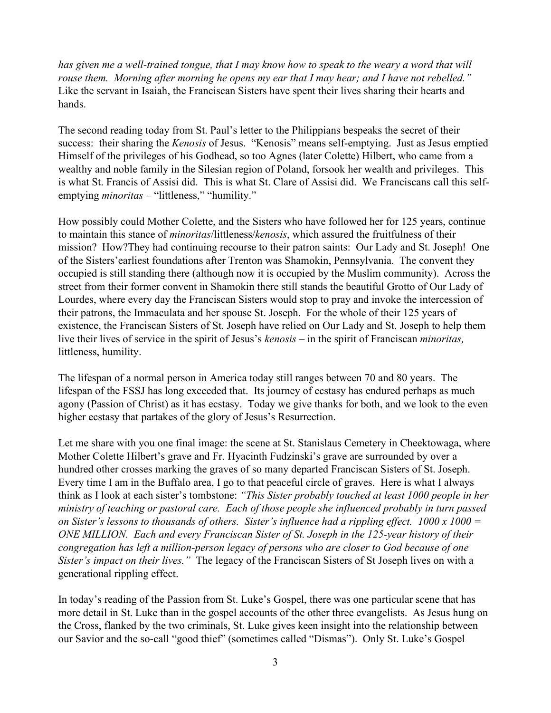*has given me a well-trained tongue, that I may know how to speak to the weary a word that will rouse them. Morning after morning he opens my ear that I may hear; and I have not rebelled."*  Like the servant in Isaiah, the Franciscan Sisters have spent their lives sharing their hearts and hands.

The second reading today from St. Paul's letter to the Philippians bespeaks the secret of their success: their sharing the *Kenosis* of Jesus. "Kenosis" means self-emptying. Just as Jesus emptied Himself of the privileges of his Godhead, so too Agnes (later Colette) Hilbert, who came from a wealthy and noble family in the Silesian region of Poland, forsook her wealth and privileges. This is what St. Francis of Assisi did. This is what St. Clare of Assisi did. We Franciscans call this selfemptying *minoritas* – "littleness," "humility."

How possibly could Mother Colette, and the Sisters who have followed her for 125 years, continue to maintain this stance of *minoritas*/littleness/*kenosis*, which assured the fruitfulness of their mission? How?They had continuing recourse to their patron saints: Our Lady and St. Joseph! One of the Sisters'earliest foundations after Trenton was Shamokin, Pennsylvania. The convent they occupied is still standing there (although now it is occupied by the Muslim community). Across the street from their former convent in Shamokin there still stands the beautiful Grotto of Our Lady of Lourdes, where every day the Franciscan Sisters would stop to pray and invoke the intercession of their patrons, the Immaculata and her spouse St. Joseph. For the whole of their 125 years of existence, the Franciscan Sisters of St. Joseph have relied on Our Lady and St. Joseph to help them live their lives of service in the spirit of Jesus's *kenosis* – in the spirit of Franciscan *minoritas,*  littleness, humility.

The lifespan of a normal person in America today still ranges between 70 and 80 years. The lifespan of the FSSJ has long exceeded that. Its journey of ecstasy has endured perhaps as much agony (Passion of Christ) as it has ecstasy. Today we give thanks for both, and we look to the even higher ecstasy that partakes of the glory of Jesus's Resurrection.

Let me share with you one final image: the scene at St. Stanislaus Cemetery in Cheektowaga, where Mother Colette Hilbert's grave and Fr. Hyacinth Fudzinski's grave are surrounded by over a hundred other crosses marking the graves of so many departed Franciscan Sisters of St. Joseph. Every time I am in the Buffalo area, I go to that peaceful circle of graves. Here is what I always think as I look at each sister's tombstone: *"This Sister probably touched at least 1000 people in her ministry of teaching or pastoral care. Each of those people she influenced probably in turn passed on Sister's lessons to thousands of others. Sister's influence had a rippling effect. 1000 x 1000 = ONE MILLION. Each and every Franciscan Sister of St. Joseph in the 125-year history of their congregation has left a million-person legacy of persons who are closer to God because of one Sister's impact on their lives."* The legacy of the Franciscan Sisters of St Joseph lives on with a generational rippling effect.

In today's reading of the Passion from St. Luke's Gospel, there was one particular scene that has more detail in St. Luke than in the gospel accounts of the other three evangelists. As Jesus hung on the Cross, flanked by the two criminals, St. Luke gives keen insight into the relationship between our Savior and the so-call "good thief" (sometimes called "Dismas"). Only St. Luke's Gospel